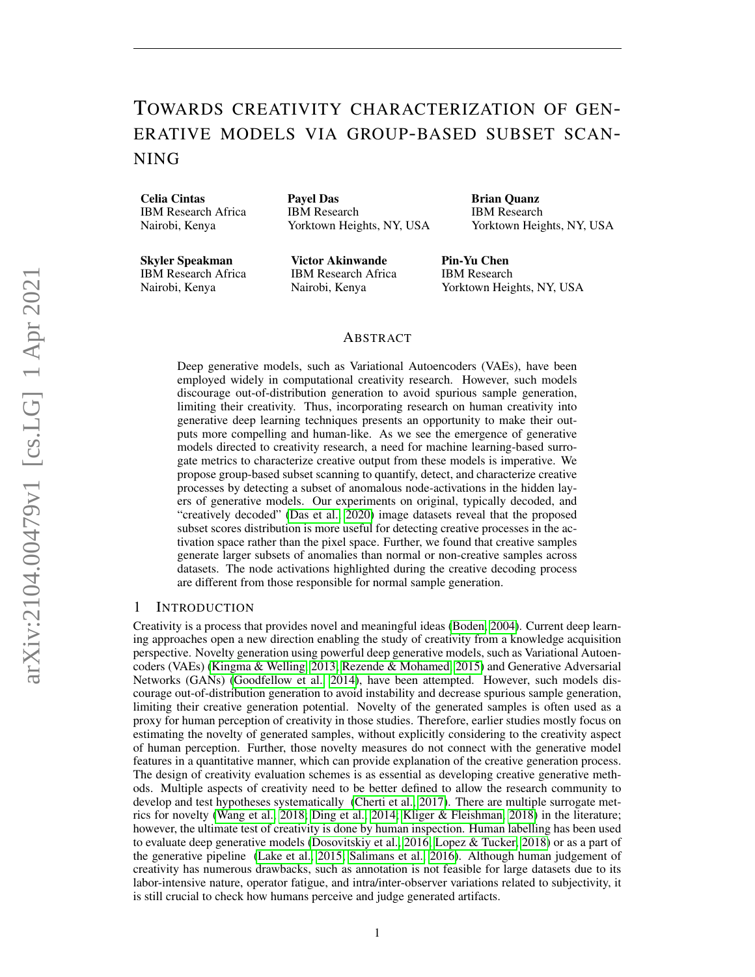# TOWARDS CREATIVITY CHARACTERIZATION OF GEN-ERATIVE MODELS VIA GROUP-BASED SUBSET SCAN-NING

Celia Cintas IBM Research Africa Nairobi, Kenya

Payel Das IBM Research Yorktown Heights, NY, USA Brian Quanz IBM Research Yorktown Heights, NY, USA

Skyler Speakman IBM Research Africa Nairobi, Kenya

Victor Akinwande IBM Research Africa Nairobi, Kenya

Pin-Yu Chen IBM Research Yorktown Heights, NY, USA

## ABSTRACT

Deep generative models, such as Variational Autoencoders (VAEs), have been employed widely in computational creativity research. However, such models discourage out-of-distribution generation to avoid spurious sample generation, limiting their creativity. Thus, incorporating research on human creativity into generative deep learning techniques presents an opportunity to make their outputs more compelling and human-like. As we see the emergence of generative models directed to creativity research, a need for machine learning-based surrogate metrics to characterize creative output from these models is imperative. We propose group-based subset scanning to quantify, detect, and characterize creative processes by detecting a subset of anomalous node-activations in the hidden layers of generative models. Our experiments on original, typically decoded, and "creatively decoded" [\(Das et al., 2020\)](#page-4-0) image datasets reveal that the proposed subset scores distribution is more useful for detecting creative processes in the activation space rather than the pixel space. Further, we found that creative samples generate larger subsets of anomalies than normal or non-creative samples across datasets. The node activations highlighted during the creative decoding process are different from those responsible for normal sample generation.

## 1 INTRODUCTION

Creativity is a process that provides novel and meaningful ideas [\(Boden, 2004\)](#page-4-1). Current deep learning approaches open a new direction enabling the study of creativity from a knowledge acquisition perspective. Novelty generation using powerful deep generative models, such as Variational Autoencoders (VAEs) [\(Kingma & Welling, 2013;](#page-4-2) [Rezende & Mohamed, 2015\)](#page-5-0) and Generative Adversarial Networks (GANs) [\(Goodfellow et al., 2014\)](#page-4-3), have been attempted. However, such models discourage out-of-distribution generation to avoid instability and decrease spurious sample generation, limiting their creative generation potential. Novelty of the generated samples is often used as a proxy for human perception of creativity in those studies. Therefore, earlier studies mostly focus on estimating the novelty of generated samples, without explicitly considering to the creativity aspect of human perception. Further, those novelty measures do not connect with the generative model features in a quantitative manner, which can provide explanation of the creative generation process. The design of creativity evaluation schemes is as essential as developing creative generative methods. Multiple aspects of creativity need to be better defined to allow the research community to develop and test hypotheses systematically [\(Cherti et al., 2017\)](#page-4-4). There are multiple surrogate metrics for novelty [\(Wang et al., 2018;](#page-5-1) [Ding et al., 2014;](#page-4-5) [Kliger & Fleishman, 2018\)](#page-4-6) in the literature; however, the ultimate test of creativity is done by human inspection. Human labelling has been used to evaluate deep generative models [\(Dosovitskiy et al., 2016;](#page-4-7) [Lopez & Tucker, 2018\)](#page-4-8) or as a part of the generative pipeline [\(Lake et al., 2015;](#page-4-9) [Salimans et al., 2016\)](#page-5-2). Although human judgement of creativity has numerous drawbacks, such as annotation is not feasible for large datasets due to its labor-intensive nature, operator fatigue, and intra/inter-observer variations related to subjectivity, it is still crucial to check how humans perceive and judge generated artifacts.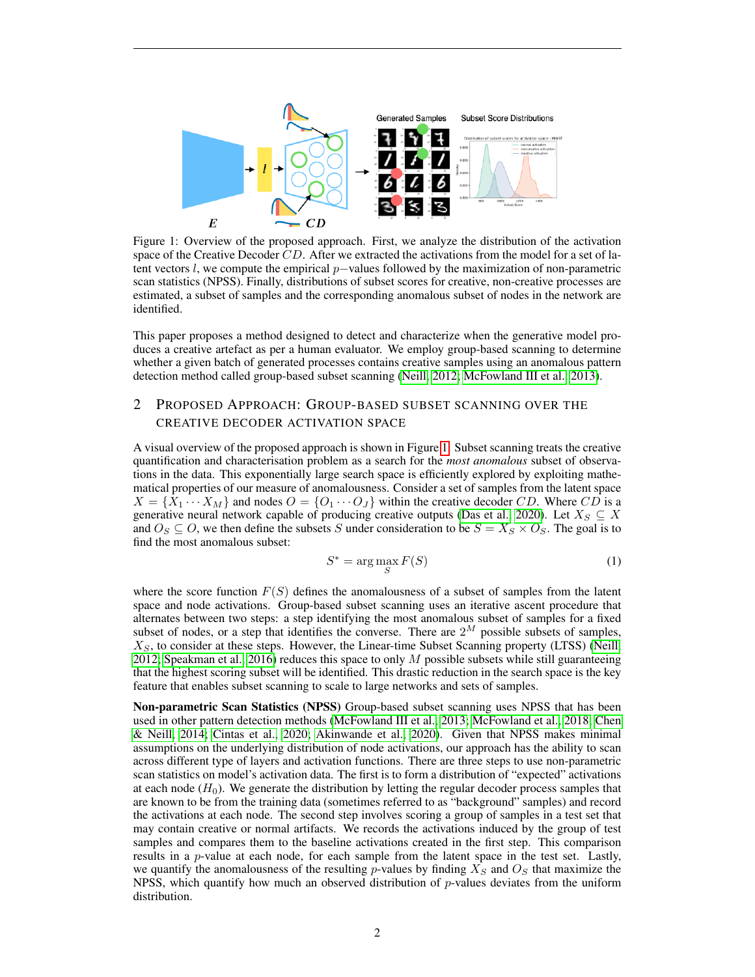

<span id="page-1-0"></span>Figure 1: Overview of the proposed approach. First, we analyze the distribution of the activation space of the Creative Decoder  $CD$ . After we extracted the activations from the model for a set of latent vectors l, we compute the empirical  $p$ –values followed by the maximization of non-parametric scan statistics (NPSS). Finally, distributions of subset scores for creative, non-creative processes are estimated, a subset of samples and the corresponding anomalous subset of nodes in the network are identified.

This paper proposes a method designed to detect and characterize when the generative model produces a creative artefact as per a human evaluator. We employ group-based scanning to determine whether a given batch of generated processes contains creative samples using an anomalous pattern detection method called group-based subset scanning [\(Neill, 2012;](#page-5-3) [McFowland III et al., 2013\)](#page-5-4).

## 2 PROPOSED APPROACH: GROUP-BASED SUBSET SCANNING OVER THE CREATIVE DECODER ACTIVATION SPACE

A visual overview of the proposed approach is shown in Figure [1.](#page-1-0) Subset scanning treats the creative quantification and characterisation problem as a search for the *most anomalous* subset of observations in the data. This exponentially large search space is efficiently explored by exploiting mathematical properties of our measure of anomalousness. Consider a set of samples from the latent space  $X = \{X_1 \cdots X_M\}$  and nodes  $O = \{O_1 \cdots O_J\}$  within the creative decoder CD. Where CD is a generative neural network capable of producing creative outputs [\(Das et al., 2020\)](#page-4-0). Let  $X_S \subseteq X$ and  $O_S \subseteq O$ , we then define the subsets S under consideration to be  $S = X_S \times O_S$ . The goal is to find the most anomalous subset:

$$
S^* = \arg\max_{S} F(S) \tag{1}
$$

where the score function  $F(S)$  defines the anomalousness of a subset of samples from the latent space and node activations. Group-based subset scanning uses an iterative ascent procedure that alternates between two steps: a step identifying the most anomalous subset of samples for a fixed subset of nodes, or a step that identifies the converse. There are  $2^M$  possible subsets of samples,  $X<sub>S</sub>$ , to consider at these steps. However, the Linear-time Subset Scanning property (LTSS) [\(Neill,](#page-5-3) [2012;](#page-5-3) [Speakman et al., 2016\)](#page-5-5) reduces this space to only  $M$  possible subsets while still guaranteeing that the highest scoring subset will be identified. This drastic reduction in the search space is the key feature that enables subset scanning to scale to large networks and sets of samples.

Non-parametric Scan Statistics (NPSS) Group-based subset scanning uses NPSS that has been used in other pattern detection methods [\(McFowland III et al., 2013;](#page-5-4) [McFowland et al., 2018;](#page-4-10) [Chen](#page-4-11) [& Neill, 2014;](#page-4-11) [Cintas et al., 2020;](#page-4-12) [Akinwande et al., 2020\)](#page-4-13). Given that NPSS makes minimal assumptions on the underlying distribution of node activations, our approach has the ability to scan across different type of layers and activation functions. There are three steps to use non-parametric scan statistics on model's activation data. The first is to form a distribution of "expected" activations at each node  $(H_0)$ . We generate the distribution by letting the regular decoder process samples that are known to be from the training data (sometimes referred to as "background" samples) and record the activations at each node. The second step involves scoring a group of samples in a test set that may contain creative or normal artifacts. We records the activations induced by the group of test samples and compares them to the baseline activations created in the first step. This comparison results in a p-value at each node, for each sample from the latent space in the test set. Lastly, we quantify the anomalousness of the resulting p-values by finding  $X_S$  and  $O_S$  that maximize the NPSS, which quantify how much an observed distribution of  $p$ -values deviates from the uniform distribution.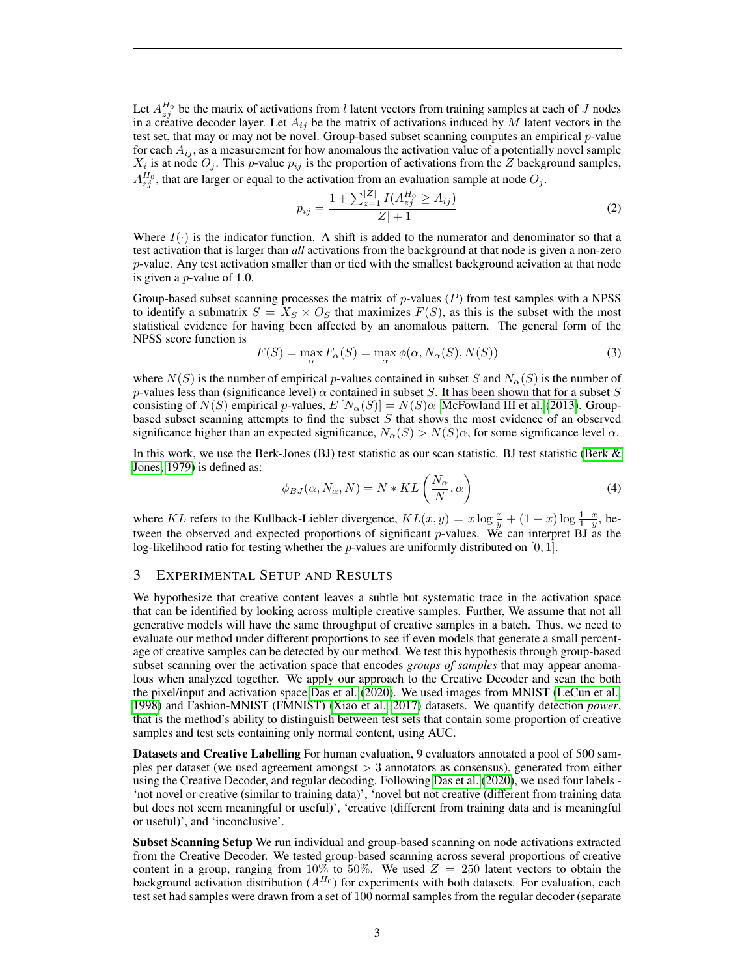Let  $A_{zj}^{H_0}$  be the matrix of activations from l latent vectors from training samples at each of J nodes in a creative decoder layer. Let  $A_{ij}$  be the matrix of activations induced by M latent vectors in the test set, that may or may not be novel. Group-based subset scanning computes an empirical  $p$ -value for each  $A_{ij}$ , as a measurement for how anomalous the activation value of a potentially novel sample  $X_i$  is at node  $O_j$ . This p-value  $p_{ij}$  is the proportion of activations from the Z background samples,  $A_{zj}^{H_0}$ , that are larger or equal to the activation from an evaluation sample at node  $O_j$ .

$$
p_{ij} = \frac{1 + \sum_{z=1}^{|Z|} I(A_{zj}^{H_0} \ge A_{ij})}{|Z| + 1}
$$
 (2)

Where  $I(\cdot)$  is the indicator function. A shift is added to the numerator and denominator so that a test activation that is larger than *all* activations from the background at that node is given a non-zero  $p$ -value. Any test activation smaller than or tied with the smallest background acivation at that node is given a p-value of 1.0.

Group-based subset scanning processes the matrix of  $p$ -values  $(P)$  from test samples with a NPSS to identify a submatrix  $S = X_S \times O_S$  that maximizes  $F(S)$ , as this is the subset with the most statistical evidence for having been affected by an anomalous pattern. The general form of the NPSS score function is

$$
F(S) = \max_{\alpha} F_{\alpha}(S) = \max_{\alpha} \phi(\alpha, N_{\alpha}(S), N(S))
$$
\n(3)

where  $N(S)$  is the number of empirical p-values contained in subset S and  $N_{\alpha}(S)$  is the number of p-values less than (significance level)  $\alpha$  contained in subset S. It has been shown that for a subset S consisting of  $N(S)$  empirical p-values,  $E[N_\alpha(S)] = N(S)\alpha$  [McFowland III et al.](#page-5-4) [\(2013\)](#page-5-4). Groupbased subset scanning attempts to find the subset  $S$  that shows the most evidence of an observed significance higher than an expected significance,  $N_{\alpha}(S) > N(S)\alpha$ , for some significance level  $\alpha$ .

In this work, we use the Berk-Jones (BJ) test statistic as our scan statistic. BJ test statistic [\(Berk &](#page-4-14) [Jones, 1979\)](#page-4-14) is defined as:

$$
\phi_{BJ}(\alpha, N_\alpha, N) = N * KL\left(\frac{N_\alpha}{N}, \alpha\right)
$$
\n(4)

where KL refers to the Kullback-Liebler divergence,  $KL(x, y) = x \log \frac{x}{y} + (1 - x) \log \frac{1 - x}{1 - y}$ , between the observed and expected proportions of significant  $p$ -values. We can interpret BJ as the log-likelihood ratio for testing whether the *p*-values are uniformly distributed on [0, 1].

## 3 EXPERIMENTAL SETUP AND RESULTS

We hypothesize that creative content leaves a subtle but systematic trace in the activation space that can be identified by looking across multiple creative samples. Further, We assume that not all generative models will have the same throughput of creative samples in a batch. Thus, we need to evaluate our method under different proportions to see if even models that generate a small percentage of creative samples can be detected by our method. We test this hypothesis through group-based subset scanning over the activation space that encodes *groups of samples* that may appear anomalous when analyzed together. We apply our approach to the Creative Decoder and scan the both the pixel/input and activation space [Das et al.](#page-4-0) [\(2020\)](#page-4-0). We used images from MNIST [\(LeCun et al.,](#page-4-15) [1998\)](#page-4-15) and Fashion-MNIST (FMNIST) [\(Xiao et al., 2017\)](#page-5-6) datasets. We quantify detection *power*, that is the method's ability to distinguish between test sets that contain some proportion of creative samples and test sets containing only normal content, using AUC.

Datasets and Creative Labelling For human evaluation, 9 evaluators annotated a pool of 500 samples per dataset (we used agreement amongst > 3 annotators as consensus), generated from either using the Creative Decoder, and regular decoding. Following [Das et al.](#page-4-0) [\(2020\)](#page-4-0), we used four labels - 'not novel or creative (similar to training data)', 'novel but not creative (different from training data but does not seem meaningful or useful)', 'creative (different from training data and is meaningful or useful)', and 'inconclusive'.

Subset Scanning Setup We run individual and group-based scanning on node activations extracted from the Creative Decoder. We tested group-based scanning across several proportions of creative content in a group, ranging from 10% to 50%. We used  $Z = 250$  latent vectors to obtain the background activation distribution  $(A^{H_0})$  for experiments with both datasets. For evaluation, each test set had samples were drawn from a set of 100 normal samples from the regular decoder (separate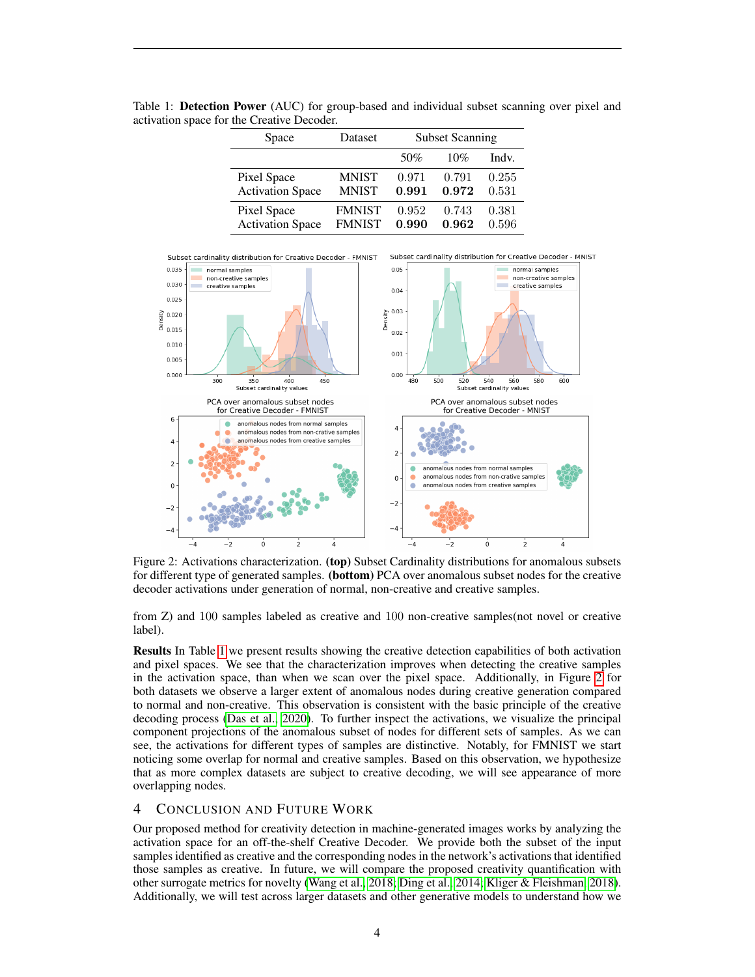| Space                   | Dataset       | <b>Subset Scanning</b> |       |       |
|-------------------------|---------------|------------------------|-------|-------|
|                         |               | 50%                    | 10%   | Indv. |
| Pixel Space             | <b>MNIST</b>  | 0.971                  | 0.791 | 0.255 |
| <b>Activation Space</b> | <b>MNIST</b>  | 0.991                  | 0.972 | 0.531 |
| Pixel Space             | <b>FMNIST</b> | 0.952                  | 0.743 | 0.381 |
| <b>Activation Space</b> | <b>FMNIST</b> | 0.990                  | 0.962 | 0.596 |

<span id="page-3-0"></span>Table 1: Detection Power (AUC) for group-based and individual subset scanning over pixel and activation space for the Creative Decoder.



<span id="page-3-1"></span>Figure 2: Activations characterization. (top) Subset Cardinality distributions for anomalous subsets for different type of generated samples. (bottom) PCA over anomalous subset nodes for the creative decoder activations under generation of normal, non-creative and creative samples.

from Z) and 100 samples labeled as creative and 100 non-creative samples(not novel or creative label).

Results In Table [1](#page-3-0) we present results showing the creative detection capabilities of both activation and pixel spaces. We see that the characterization improves when detecting the creative samples in the activation space, than when we scan over the pixel space. Additionally, in Figure [2](#page-3-1) for both datasets we observe a larger extent of anomalous nodes during creative generation compared to normal and non-creative. This observation is consistent with the basic principle of the creative decoding process [\(Das et al., 2020\)](#page-4-0). To further inspect the activations, we visualize the principal component projections of the anomalous subset of nodes for different sets of samples. As we can see, the activations for different types of samples are distinctive. Notably, for FMNIST we start noticing some overlap for normal and creative samples. Based on this observation, we hypothesize that as more complex datasets are subject to creative decoding, we will see appearance of more overlapping nodes.

## 4 CONCLUSION AND FUTURE WORK

Our proposed method for creativity detection in machine-generated images works by analyzing the activation space for an off-the-shelf Creative Decoder. We provide both the subset of the input samples identified as creative and the corresponding nodes in the network's activations that identified those samples as creative. In future, we will compare the proposed creativity quantification with other surrogate metrics for novelty [\(Wang et al., 2018;](#page-5-1) [Ding et al., 2014;](#page-4-5) [Kliger & Fleishman, 2018\)](#page-4-6). Additionally, we will test across larger datasets and other generative models to understand how we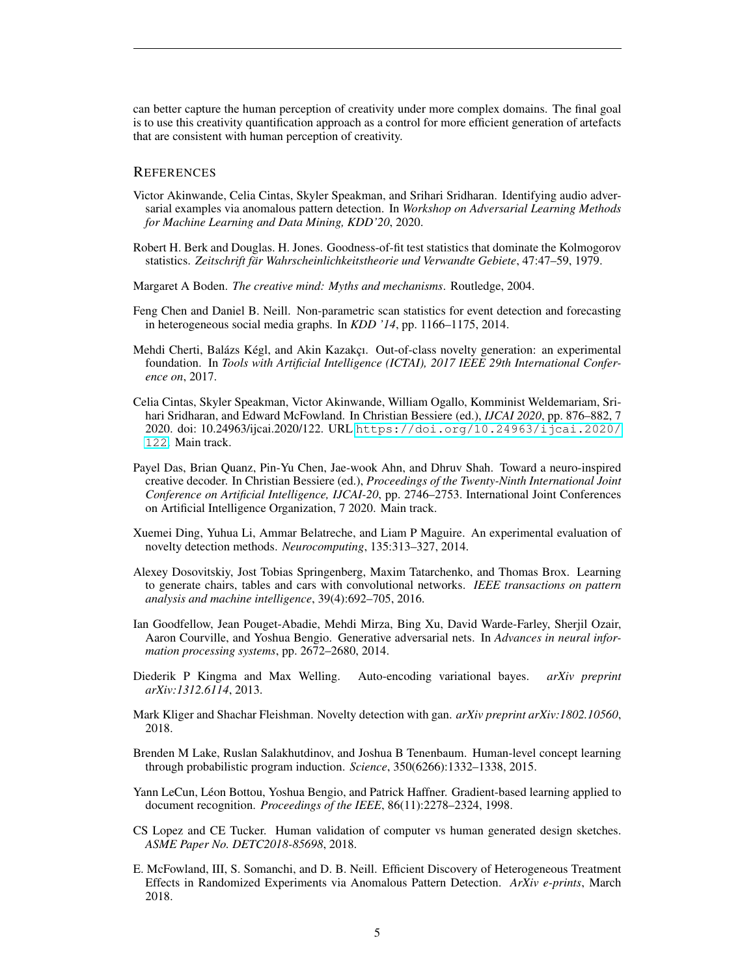can better capture the human perception of creativity under more complex domains. The final goal is to use this creativity quantification approach as a control for more efficient generation of artefacts that are consistent with human perception of creativity.

#### **REFERENCES**

- <span id="page-4-13"></span>Victor Akinwande, Celia Cintas, Skyler Speakman, and Srihari Sridharan. Identifying audio adversarial examples via anomalous pattern detection. In *Workshop on Adversarial Learning Methods for Machine Learning and Data Mining, KDD'20*, 2020.
- <span id="page-4-14"></span>Robert H. Berk and Douglas. H. Jones. Goodness-of-fit test statistics that dominate the Kolmogorov statistics. *Zeitschrift fär Wahrscheinlichkeitstheorie und Verwandte Gebiete*, 47:47–59, 1979.
- <span id="page-4-1"></span>Margaret A Boden. *The creative mind: Myths and mechanisms*. Routledge, 2004.
- <span id="page-4-11"></span>Feng Chen and Daniel B. Neill. Non-parametric scan statistics for event detection and forecasting in heterogeneous social media graphs. In *KDD '14*, pp. 1166–1175, 2014.
- <span id="page-4-4"></span>Mehdi Cherti, Balázs Kégl, and Akin Kazakçı. Out-of-class novelty generation: an experimental foundation. In *Tools with Artificial Intelligence (ICTAI), 2017 IEEE 29th International Conference on*, 2017.
- <span id="page-4-12"></span>Celia Cintas, Skyler Speakman, Victor Akinwande, William Ogallo, Komminist Weldemariam, Srihari Sridharan, and Edward McFowland. In Christian Bessiere (ed.), *IJCAI 2020*, pp. 876–882, 7 2020. doi: 10.24963/ijcai.2020/122. URL [https://doi.org/10.24963/ijcai.2020/](https://doi.org/10.24963/ijcai.2020/122) [122](https://doi.org/10.24963/ijcai.2020/122). Main track.
- <span id="page-4-0"></span>Payel Das, Brian Quanz, Pin-Yu Chen, Jae-wook Ahn, and Dhruv Shah. Toward a neuro-inspired creative decoder. In Christian Bessiere (ed.), *Proceedings of the Twenty-Ninth International Joint Conference on Artificial Intelligence, IJCAI-20*, pp. 2746–2753. International Joint Conferences on Artificial Intelligence Organization, 7 2020. Main track.
- <span id="page-4-5"></span>Xuemei Ding, Yuhua Li, Ammar Belatreche, and Liam P Maguire. An experimental evaluation of novelty detection methods. *Neurocomputing*, 135:313–327, 2014.
- <span id="page-4-7"></span>Alexey Dosovitskiy, Jost Tobias Springenberg, Maxim Tatarchenko, and Thomas Brox. Learning to generate chairs, tables and cars with convolutional networks. *IEEE transactions on pattern analysis and machine intelligence*, 39(4):692–705, 2016.
- <span id="page-4-3"></span>Ian Goodfellow, Jean Pouget-Abadie, Mehdi Mirza, Bing Xu, David Warde-Farley, Sherjil Ozair, Aaron Courville, and Yoshua Bengio. Generative adversarial nets. In *Advances in neural information processing systems*, pp. 2672–2680, 2014.
- <span id="page-4-2"></span>Diederik P Kingma and Max Welling. Auto-encoding variational bayes. *arXiv preprint arXiv:1312.6114*, 2013.
- <span id="page-4-6"></span>Mark Kliger and Shachar Fleishman. Novelty detection with gan. *arXiv preprint arXiv:1802.10560*, 2018.
- <span id="page-4-9"></span>Brenden M Lake, Ruslan Salakhutdinov, and Joshua B Tenenbaum. Human-level concept learning through probabilistic program induction. *Science*, 350(6266):1332–1338, 2015.
- <span id="page-4-15"></span>Yann LeCun, Léon Bottou, Yoshua Bengio, and Patrick Haffner. Gradient-based learning applied to document recognition. *Proceedings of the IEEE*, 86(11):2278–2324, 1998.
- <span id="page-4-8"></span>CS Lopez and CE Tucker. Human validation of computer vs human generated design sketches. *ASME Paper No. DETC2018-85698*, 2018.
- <span id="page-4-10"></span>E. McFowland, III, S. Somanchi, and D. B. Neill. Efficient Discovery of Heterogeneous Treatment Effects in Randomized Experiments via Anomalous Pattern Detection. *ArXiv e-prints*, March 2018.